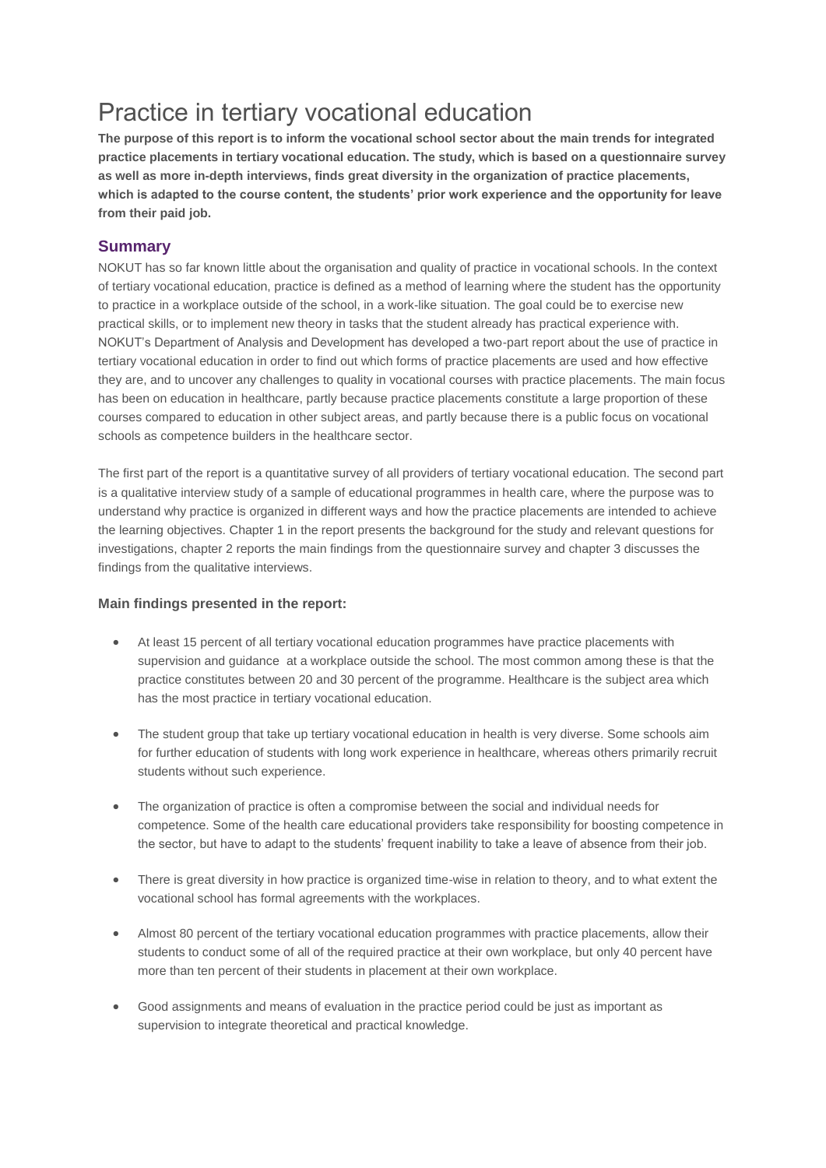## Practice in tertiary vocational education

**The purpose of this report is to inform the vocational school sector about the main trends for integrated practice placements in tertiary vocational education. The study, which is based on a questionnaire survey as well as more in-depth interviews, finds great diversity in the organization of practice placements, which is adapted to the course content, the students' prior work experience and the opportunity for leave from their paid job.**

## **Summary**

NOKUT has so far known little about the organisation and quality of practice in vocational schools. In the context of tertiary vocational education, practice is defined as a method of learning where the student has the opportunity to practice in a workplace outside of the school, in a work-like situation. The goal could be to exercise new practical skills, or to implement new theory in tasks that the student already has practical experience with. NOKUT's Department of Analysis and Development has developed a two-part report about the use of practice in tertiary vocational education in order to find out which forms of practice placements are used and how effective they are, and to uncover any challenges to quality in vocational courses with practice placements. The main focus has been on education in healthcare, partly because practice placements constitute a large proportion of these courses compared to education in other subject areas, and partly because there is a public focus on vocational schools as competence builders in the healthcare sector.

The first part of the report is a quantitative survey of all providers of tertiary vocational education. The second part is a qualitative interview study of a sample of educational programmes in health care, where the purpose was to understand why practice is organized in different ways and how the practice placements are intended to achieve the learning objectives. Chapter 1 in the report presents the background for the study and relevant questions for investigations, chapter 2 reports the main findings from the questionnaire survey and chapter 3 discusses the findings from the qualitative interviews.

## **Main findings presented in the report:**

- At least 15 percent of all tertiary vocational education programmes have practice placements with supervision and guidance at a workplace outside the school. The most common among these is that the practice constitutes between 20 and 30 percent of the programme. Healthcare is the subject area which has the most practice in tertiary vocational education.
- The student group that take up tertiary vocational education in health is very diverse. Some schools aim for further education of students with long work experience in healthcare, whereas others primarily recruit students without such experience.
- The organization of practice is often a compromise between the social and individual needs for competence. Some of the health care educational providers take responsibility for boosting competence in the sector, but have to adapt to the students' frequent inability to take a leave of absence from their job.
- There is great diversity in how practice is organized time-wise in relation to theory, and to what extent the vocational school has formal agreements with the workplaces.
- Almost 80 percent of the tertiary vocational education programmes with practice placements, allow their students to conduct some of all of the required practice at their own workplace, but only 40 percent have more than ten percent of their students in placement at their own workplace.
- Good assignments and means of evaluation in the practice period could be just as important as supervision to integrate theoretical and practical knowledge.